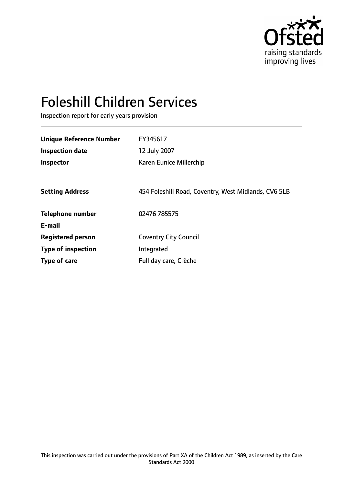

# Foleshill Children Services

Inspection report for early years provision

| <b>Unique Reference Number</b> | EY345617                                             |
|--------------------------------|------------------------------------------------------|
| <b>Inspection date</b>         | 12 July 2007                                         |
| Inspector                      | Karen Eunice Millerchip                              |
|                                |                                                      |
| <b>Setting Address</b>         | 454 Foleshill Road, Coventry, West Midlands, CV6 5LB |
| <b>Telephone number</b>        | 02476 785575                                         |
| E-mail                         |                                                      |
| <b>Registered person</b>       | <b>Coventry City Council</b>                         |
| <b>Type of inspection</b>      | Integrated                                           |
| Type of care                   | Full day care, Crèche                                |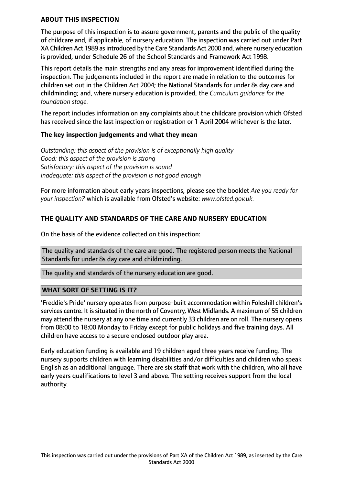#### **ABOUT THIS INSPECTION**

The purpose of this inspection is to assure government, parents and the public of the quality of childcare and, if applicable, of nursery education. The inspection was carried out under Part XA Children Act 1989 as introduced by the Care Standards Act 2000 and, where nursery education is provided, under Schedule 26 of the School Standards and Framework Act 1998.

This report details the main strengths and any areas for improvement identified during the inspection. The judgements included in the report are made in relation to the outcomes for children set out in the Children Act 2004; the National Standards for under 8s day care and childminding; and, where nursery education is provided, the *Curriculum guidance for the foundation stage.*

The report includes information on any complaints about the childcare provision which Ofsted has received since the last inspection or registration or 1 April 2004 whichever is the later.

#### **The key inspection judgements and what they mean**

*Outstanding: this aspect of the provision is of exceptionally high quality Good: this aspect of the provision is strong Satisfactory: this aspect of the provision is sound Inadequate: this aspect of the provision is not good enough*

For more information about early years inspections, please see the booklet *Are you ready for your inspection?* which is available from Ofsted's website: *www.ofsted.gov.uk.*

# **THE QUALITY AND STANDARDS OF THE CARE AND NURSERY EDUCATION**

On the basis of the evidence collected on this inspection:

The quality and standards of the care are good. The registered person meets the National Standards for under 8s day care and childminding.

The quality and standards of the nursery education are good.

#### **WHAT SORT OF SETTING IS IT?**

'Freddie's Pride' nursery operates from purpose-built accommodation within Foleshill children's services centre. It is situated in the north of Coventry, West Midlands. A maximum of 55 children may attend the nursery at any one time and currently 33 children are on roll. The nursery opens from 08:00 to 18:00 Monday to Friday except for public holidays and five training days. All children have access to a secure enclosed outdoor play area.

Early education funding is available and 19 children aged three years receive funding. The nursery supports children with learning disabilities and/or difficulties and children who speak English as an additional language. There are six staff that work with the children, who all have early years qualifications to level 3 and above. The setting receives support from the local authority.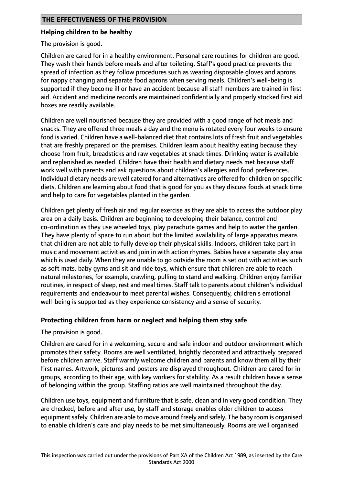## **Helping children to be healthy**

The provision is good.

Children are cared for in a healthy environment. Personal care routines for children are good. They wash their hands before meals and after toileting. Staff's good practice prevents the spread of infection as they follow procedures such as wearing disposable gloves and aprons for nappy changing and separate food aprons when serving meals. Children's well-being is supported if they become ill or have an accident because all staff members are trained in first aid. Accident and medicine records are maintained confidentially and properly stocked first aid boxes are readily available.

Children are well nourished because they are provided with a good range of hot meals and snacks. They are offered three meals a day and the menu is rotated every four weeks to ensure food is varied. Children have a well-balanced diet that contains lots of fresh fruit and vegetables that are freshly prepared on the premises. Children learn about healthy eating because they choose from fruit, breadsticks and raw vegetables at snack times. Drinking water is available and replenished as needed. Children have their health and dietary needs met because staff work well with parents and ask questions about children's allergies and food preferences. Individual dietary needs are well catered for and alternatives are offered for children on specific diets. Children are learning about food that is good for you as they discuss foods at snack time and help to care for vegetables planted in the garden.

Children get plenty of fresh air and regular exercise as they are able to access the outdoor play area on a daily basis. Children are beginning to developing their balance, control and co-ordination as they use wheeled toys, play parachute games and help to water the garden. They have plenty of space to run about but the limited availability of large apparatus means that children are not able to fully develop their physical skills. Indoors, children take part in music and movement activities and join in with action rhymes. Babies have a separate play area which is used daily. When they are unable to go outside the room is set out with activities such as soft mats, baby gyms and sit and ride toys, which ensure that children are able to reach natural milestones, for example, crawling, pulling to stand and walking. Children enjoy familiar routines, in respect of sleep, rest and meal times. Staff talk to parents about children's individual requirements and endeavour to meet parental wishes. Consequently, children's emotional well-being is supported as they experience consistency and a sense of security.

## **Protecting children from harm or neglect and helping them stay safe**

The provision is good.

Children are cared for in a welcoming, secure and safe indoor and outdoor environment which promotes their safety. Rooms are well ventilated, brightly decorated and attractively prepared before children arrive. Staff warmly welcome children and parents and know them all by their first names. Artwork, pictures and posters are displayed throughout. Children are cared for in groups, according to their age, with key workers for stability. As a result children have a sense of belonging within the group. Staffing ratios are well maintained throughout the day.

Children use toys, equipment and furniture that is safe, clean and in very good condition. They are checked, before and after use, by staff and storage enables older children to access equipment safely. Children are able to move around freely and safely. The baby room is organised to enable children's care and play needs to be met simultaneously. Rooms are well organised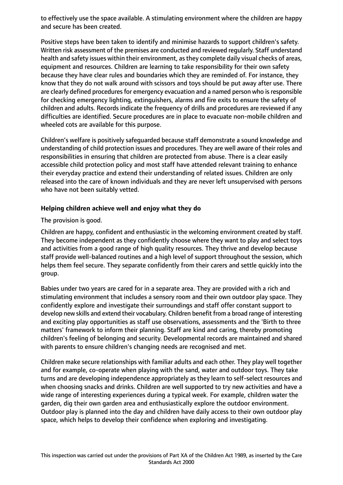to effectively use the space available. A stimulating environment where the children are happy and secure has been created.

Positive steps have been taken to identify and minimise hazards to support children's safety. Written risk assessment of the premises are conducted and reviewed regularly. Staff understand health and safety issues within their environment, as they complete daily visual checks of areas, equipment and resources. Children are learning to take responsibility for their own safety because they have clear rules and boundaries which they are reminded of. For instance, they know that they do not walk around with scissors and toys should be put away after use. There are clearly defined procedures for emergency evacuation and a named person who is responsible for checking emergency lighting, extinguishers, alarms and fire exits to ensure the safety of children and adults. Records indicate the frequency of drills and procedures are reviewed if any difficulties are identified. Secure procedures are in place to evacuate non-mobile children and wheeled cots are available for this purpose.

Children's welfare is positively safeguarded because staff demonstrate a sound knowledge and understanding of child protection issues and procedures. They are well aware of their roles and responsibilities in ensuring that children are protected from abuse. There is a clear easily accessible child protection policy and most staff have attended relevant training to enhance their everyday practice and extend their understanding of related issues. Children are only released into the care of known individuals and they are never left unsupervised with persons who have not been suitably vetted.

# **Helping children achieve well and enjoy what they do**

The provision is good.

Children are happy, confident and enthusiastic in the welcoming environment created by staff. They become independent as they confidently choose where they want to play and select toys and activities from a good range of high quality resources. They thrive and develop because staff provide well-balanced routines and a high level of support throughout the session, which helps them feel secure. They separate confidently from their carers and settle quickly into the group.

Babies under two years are cared for in a separate area. They are provided with a rich and stimulating environment that includes a sensory room and their own outdoor play space. They confidently explore and investigate their surroundings and staff offer constant support to develop new skills and extend their vocabulary. Children benefit from a broad range of interesting and exciting play opportunities as staff use observations, assessments and the 'Birth to three matters' framework to inform their planning. Staff are kind and caring, thereby promoting children's feeling of belonging and security. Developmental records are maintained and shared with parents to ensure children's changing needs are recognised and met.

Children make secure relationships with familiar adults and each other. They play well together and for example, co-operate when playing with the sand, water and outdoor toys. They take turns and are developing independence appropriately as they learn to self-select resources and when choosing snacks and drinks. Children are well supported to try new activities and have a wide range of interesting experiences during a typical week. For example, children water the garden, dig their own garden area and enthusiastically explore the outdoor environment. Outdoor play is planned into the day and children have daily access to their own outdoor play space, which helps to develop their confidence when exploring and investigating.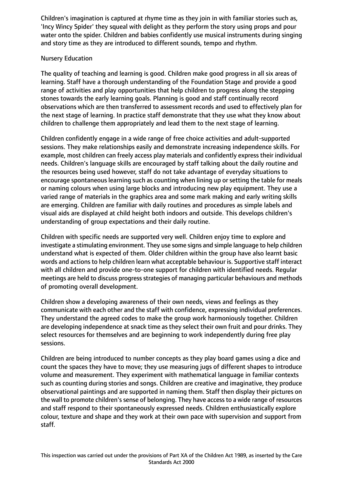Children's imagination is captured at rhyme time as they join in with familiar stories such as, 'Incy Wincy Spider' they squeal with delight as they perform the story using props and pour water onto the spider. Children and babies confidently use musical instruments during singing and story time as they are introduced to different sounds, tempo and rhythm.

# Nursery Education

The quality of teaching and learning is good. Children make good progress in all six areas of learning. Staff have a thorough understanding of the Foundation Stage and provide a good range of activities and play opportunities that help children to progress along the stepping stones towards the early learning goals. Planning is good and staff continually record observations which are then transferred to assessment records and used to effectively plan for the next stage of learning. In practice staff demonstrate that they use what they know about children to challenge them appropriately and lead them to the next stage of learning.

Children confidently engage in a wide range of free choice activities and adult-supported sessions. They make relationships easily and demonstrate increasing independence skills. For example, most children can freely access play materials and confidently express their individual needs. Children's language skills are encouraged by staff talking about the daily routine and the resources being used however, staff do not take advantage of everyday situations to encourage spontaneous learning such as counting when lining up or setting the table for meals or naming colours when using large blocks and introducing new play equipment. They use a varied range of materials in the graphics area and some mark making and early writing skills are emerging. Children are familiar with daily routines and procedures as simple labels and visual aids are displayed at child height both indoors and outside. This develops children's understanding of group expectations and their daily routine.

Children with specific needs are supported very well. Children enjoy time to explore and investigate a stimulating environment. They use some signs and simple language to help children understand what is expected of them. Older children within the group have also learnt basic words and actions to help children learn what acceptable behaviour is. Supportive staff interact with all children and provide one-to-one support for children with identified needs. Regular meetings are held to discuss progress strategies of managing particular behaviours and methods of promoting overall development.

Children show a developing awareness of their own needs, views and feelings as they communicate with each other and the staff with confidence, expressing individual preferences. They understand the agreed codes to make the group work harmoniously together. Children are developing independence at snack time as they select their own fruit and pour drinks. They select resources for themselves and are beginning to work independently during free play sessions.

Children are being introduced to number concepts as they play board games using a dice and count the spaces they have to move; they use measuring jugs of different shapes to introduce volume and measurement. They experiment with mathematical language in familiar contexts such as counting during stories and songs. Children are creative and imaginative, they produce observational paintings and are supported in naming them. Staff then display their pictures on the wall to promote children's sense of belonging. They have access to a wide range of resources and staff respond to their spontaneously expressed needs. Children enthusiastically explore colour, texture and shape and they work at their own pace with supervision and support from staff.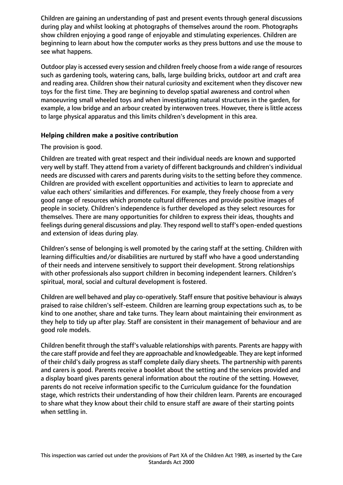Children are gaining an understanding of past and present events through general discussions during play and whilst looking at photographs of themselves around the room. Photographs show children enjoying a good range of enjoyable and stimulating experiences. Children are beginning to learn about how the computer works as they press buttons and use the mouse to see what happens.

Outdoor play is accessed every session and children freely choose from a wide range of resources such as gardening tools, watering cans, balls, large building bricks, outdoor art and craft area and reading area. Children show their natural curiosity and excitement when they discover new toys for the first time. They are beginning to develop spatial awareness and control when manoeuvring small wheeled toys and when investigating natural structures in the garden, for example, a low bridge and an arbour created by interwoven trees. However, there is little access to large physical apparatus and this limits children's development in this area.

## **Helping children make a positive contribution**

# The provision is good.

Children are treated with great respect and their individual needs are known and supported very well by staff. They attend from a variety of different backgrounds and children's individual needs are discussed with carers and parents during visits to the setting before they commence. Children are provided with excellent opportunities and activities to learn to appreciate and value each others' similarities and differences. For example, they freely choose from a very good range of resources which promote cultural differences and provide positive images of people in society. Children's independence is further developed as they select resources for themselves. There are many opportunities for children to express their ideas, thoughts and feelings during general discussions and play. They respond well to staff's open-ended questions and extension of ideas during play.

Children's sense of belonging is well promoted by the caring staff at the setting. Children with learning difficulties and/or disabilities are nurtured by staff who have a good understanding of their needs and intervene sensitively to support their development. Strong relationships with other professionals also support children in becoming independent learners. Children's spiritual, moral, social and cultural development is fostered.

Children are well behaved and play co-operatively. Staff ensure that positive behaviour is always praised to raise children's self-esteem. Children are learning group expectations such as, to be kind to one another, share and take turns. They learn about maintaining their environment as they help to tidy up after play. Staff are consistent in their management of behaviour and are good role models.

Children benefit through the staff's valuable relationships with parents. Parents are happy with the care staff provide and feel they are approachable and knowledgeable. They are kept informed of their child's daily progress as staff complete daily diary sheets. The partnership with parents and carers is good. Parents receive a booklet about the setting and the services provided and a display board gives parents general information about the routine of the setting. However, parents do not receive information specific to the Curriculum guidance for the foundation stage, which restricts their understanding of how their children learn. Parents are encouraged to share what they know about their child to ensure staff are aware of their starting points when settling in.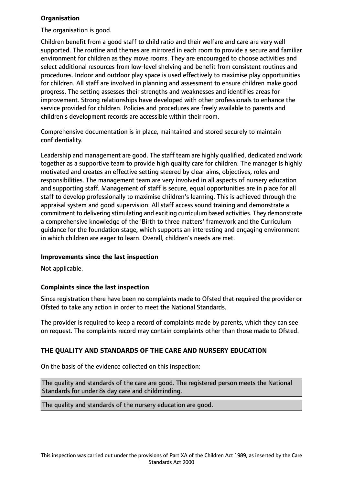# **Organisation**

The organisation is good.

Children benefit from a good staff to child ratio and their welfare and care are very well supported. The routine and themes are mirrored in each room to provide a secure and familiar environment for children as they move rooms. They are encouraged to choose activities and select additional resources from low-level shelving and benefit from consistent routines and procedures. Indoor and outdoor play space is used effectively to maximise play opportunities for children. All staff are involved in planning and assessment to ensure children make good progress. The setting assesses their strengths and weaknesses and identifies areas for improvement. Strong relationships have developed with other professionals to enhance the service provided for children. Policies and procedures are freely available to parents and children's development records are accessible within their room.

Comprehensive documentation is in place, maintained and stored securely to maintain confidentiality.

Leadership and management are good. The staff team are highly qualified, dedicated and work together as a supportive team to provide high quality care for children. The manager is highly motivated and creates an effective setting steered by clear aims, objectives, roles and responsibilities. The management team are very involved in all aspects of nursery education and supporting staff. Management of staff is secure, equal opportunities are in place for all staff to develop professionally to maximise children's learning. This is achieved through the appraisal system and good supervision. All staff access sound training and demonstrate a commitment to delivering stimulating and exciting curriculum based activities. They demonstrate a comprehensive knowledge of the 'Birth to three matters' framework and the Curriculum guidance for the foundation stage, which supports an interesting and engaging environment in which children are eager to learn. Overall, children's needs are met.

## **Improvements since the last inspection**

Not applicable.

## **Complaints since the last inspection**

Since registration there have been no complaints made to Ofsted that required the provider or Ofsted to take any action in order to meet the National Standards.

The provider is required to keep a record of complaints made by parents, which they can see on request. The complaints record may contain complaints other than those made to Ofsted.

# **THE QUALITY AND STANDARDS OF THE CARE AND NURSERY EDUCATION**

On the basis of the evidence collected on this inspection:

The quality and standards of the care are good. The registered person meets the National Standards for under 8s day care and childminding.

The quality and standards of the nursery education are good.